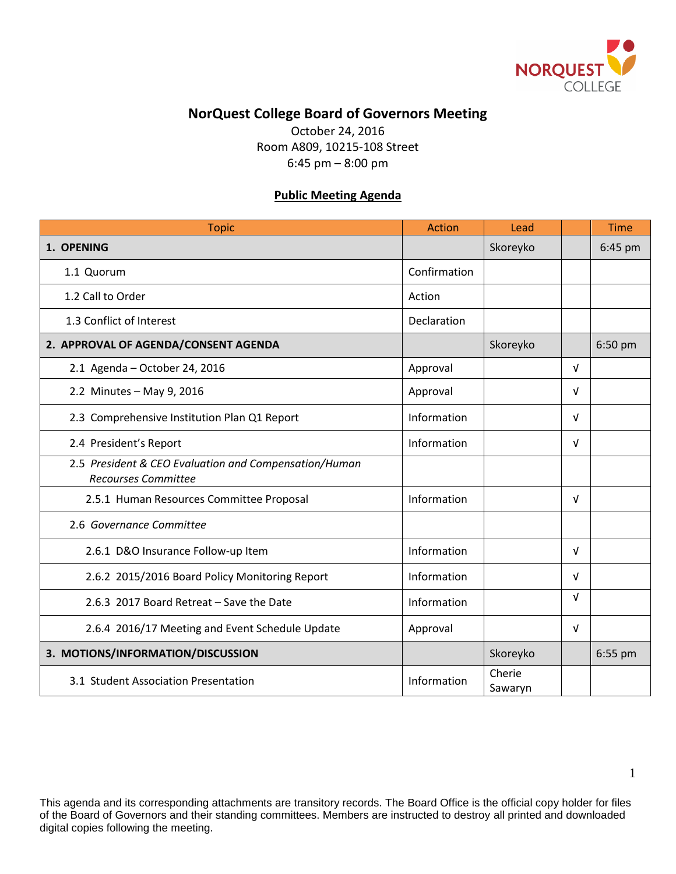

## **NorQuest College Board of Governors Meeting**

October 24, 2016 Room A809, 10215-108 Street 6:45 pm – 8:00 pm

## **Public Meeting Agenda**

| <b>Topic</b>                                                                        | <b>Action</b> | Lead              |            | <b>Time</b> |
|-------------------------------------------------------------------------------------|---------------|-------------------|------------|-------------|
| 1. OPENING                                                                          |               | Skoreyko          |            | 6:45 pm     |
| 1.1 Quorum                                                                          | Confirmation  |                   |            |             |
| 1.2 Call to Order                                                                   | Action        |                   |            |             |
| 1.3 Conflict of Interest                                                            | Declaration   |                   |            |             |
| 2. APPROVAL OF AGENDA/CONSENT AGENDA                                                |               | Skoreyko          |            | 6:50 pm     |
| 2.1 Agenda - October 24, 2016                                                       | Approval      |                   | $\sqrt{ }$ |             |
| 2.2 Minutes - May 9, 2016                                                           | Approval      |                   | $\sqrt{ }$ |             |
| 2.3 Comprehensive Institution Plan Q1 Report                                        | Information   |                   | $\sqrt{ }$ |             |
| 2.4 President's Report                                                              | Information   |                   | $\sqrt{ }$ |             |
| 2.5 President & CEO Evaluation and Compensation/Human<br><b>Recourses Committee</b> |               |                   |            |             |
| 2.5.1 Human Resources Committee Proposal                                            | Information   |                   | $\sqrt{ }$ |             |
| 2.6 Governance Committee                                                            |               |                   |            |             |
| 2.6.1 D&O Insurance Follow-up Item                                                  | Information   |                   | $\sqrt{ }$ |             |
| 2.6.2 2015/2016 Board Policy Monitoring Report                                      | Information   |                   | $\sqrt{ }$ |             |
| 2.6.3 2017 Board Retreat - Save the Date                                            | Information   |                   | $\sqrt{ }$ |             |
| 2.6.4 2016/17 Meeting and Event Schedule Update                                     | Approval      |                   | V          |             |
| 3. MOTIONS/INFORMATION/DISCUSSION                                                   |               | Skoreyko          |            | 6:55 pm     |
| 3.1 Student Association Presentation                                                | Information   | Cherie<br>Sawaryn |            |             |

This agenda and its corresponding attachments are transitory records. The Board Office is the official copy holder for files of the Board of Governors and their standing committees. Members are instructed to destroy all printed and downloaded digital copies following the meeting.